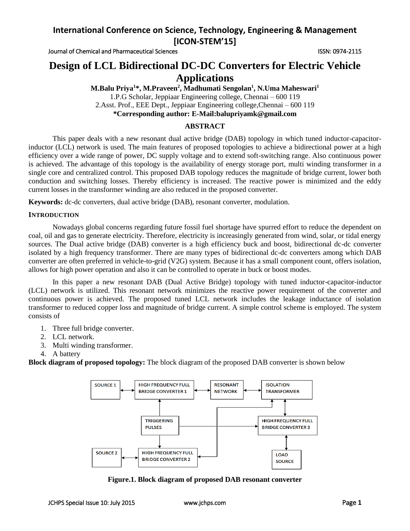Journal of Chemical and Pharmaceutical Sciences **ISSN: 0974-2115** ISSN: 0974-2115

# **Design of LCL Bidirectional DC-DC Converters for Electric Vehicle Applications**

**M.Balu Priya<sup>1</sup>\*, M.Praveen<sup>2</sup> , Madhumati Sengolan<sup>1</sup> , N.Uma Maheswari<sup>1</sup>** 1.P.G Scholar, Jeppiaar Engineering college, Chennai – 600 119 2.Asst. Prof., EEE Dept., Jeppiaar Engineering college,Chennai – 600 119 **\*Corresponding author: E-Mail:balupriyamk@gmail.com**

## **ABSTRACT**

This paper deals with a new resonant dual active bridge (DAB) topology in which tuned inductor-capacitorinductor (LCL) network is used. The main features of proposed topologies to achieve a bidirectional power at a high efficiency over a wide range of power, DC supply voltage and to extend soft-switching range. Also continuous power is achieved. The advantage of this topology is the availability of energy storage port, multi winding transformer in a single core and centralized control. This proposed DAB topology reduces the magnitude of bridge current, lower both conduction and switching losses. Thereby efficiency is increased. The reactive power is minimized and the eddy current losses in the transformer winding are also reduced in the proposed converter.

**Keywords:** dc-dc converters, dual active bridge (DAB), resonant converter, modulation.

### **INTRODUCTION**

Nowadays global concerns regarding future fossil fuel shortage have spurred effort to reduce the dependent on coal, oil and gas to generate electricity. Therefore, electricity is increasingly generated from wind, solar, or tidal energy sources. The Dual active bridge (DAB) converter is a high efficiency buck and boost, bidirectional dc-dc converter isolated by a high frequency transformer. There are many types of bidirectional dc-dc converters among which DAB converter are often preferred in vehicle-to-grid (V2G) system. Because it has a small component count, offers isolation, allows for high power operation and also it can be controlled to operate in buck or boost modes.

In this paper a new resonant DAB (Dual Active Bridge) topology with tuned inductor-capacitor-inductor (LCL) network is utilized. This resonant network minimizes the reactive power requirement of the converter and continuous power is achieved. The proposed tuned LCL network includes the leakage inductance of isolation transformer to reduced copper loss and magnitude of bridge current. A simple control scheme is employed. The system consists of

- 1. Three full bridge converter.
- 2. LCL network.
- 3. Multi winding transformer.
- 4. A battery

**Block diagram of proposed topology:** The block diagram of the proposed DAB converter is shown below



**Figure.1. Block diagram of proposed DAB resonant converter**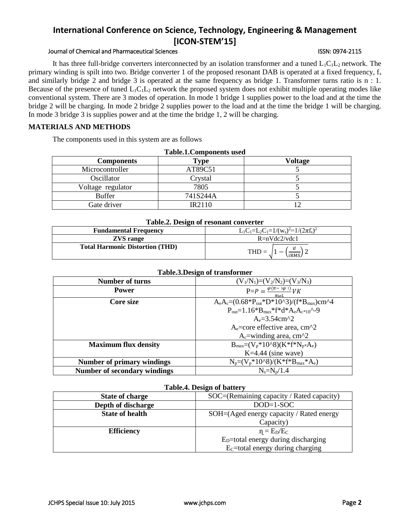## Journal of Chemical and Pharmaceutical Sciences **ISSN: 0974-2115** ISSN: 0974-2115

It has three full-bridge converters interconnected by an isolation transformer and a tuned  $L_1C_1L_2$  network. The primary winding is spilt into two. Bridge converter 1 of the proposed resonant DAB is operated at a fixed frequency,  $f_s$ and similarly bridge 2 and bridge 3 is operated at the same frequency as bridge 1. Transformer turns ratio is n : 1. Because of the presence of tuned  $L_1C_1L_2$  network the proposed system does not exhibit multiple operating modes like conventional system. There are 3 modes of operation. In mode 1 bridge 1 supplies power to the load and at the time the bridge 2 will be charging. In mode 2 bridge 2 supplies power to the load and at the time the bridge 1 will be charging. In mode 3 bridge 3 is supplies power and at the time the bridge 1, 2 will be charging.

## **MATERIALS AND METHODS**

The components used in this system are as follows

| <b>Table.1.Components used</b> |               |         |  |
|--------------------------------|---------------|---------|--|
| <b>Components</b>              | <b>Type</b>   | Voltage |  |
| Microcontroller                | AT89C51       |         |  |
| Oscillator                     | Crystal       |         |  |
| Voltage regulator              | 7805          |         |  |
| <b>Buffer</b>                  | 741S244A      |         |  |
| Gate driver                    | <b>IR2110</b> |         |  |

#### **Table.2. Design of resonant converter**

| Tuotel D collar of Fedoratic competent |                                                           |  |
|----------------------------------------|-----------------------------------------------------------|--|
| <b>Fundamental Frequency</b>           | $L_1C_1=L_2C_1=1/(w_s)^2=1/(2\pi f_s)^2$                  |  |
| <b>ZVS</b> range                       | $R = nVdc2/vdc1$                                          |  |
| <b>Total Harmonic Distortion (THD)</b> | $\left(\frac{\text{if}}{\text{iRMS}}\right)$ 2<br>$THD =$ |  |

#### **Table.3.Design of transformer**

|                                     | -                                                                        |
|-------------------------------------|--------------------------------------------------------------------------|
| <b>Number of turns</b>              | $(V_1/N_1)=(V_2/N_2)=(V_3/N_3)$                                          |
| <b>Power</b>                        | $P = P = \frac{\varphi(\pi -  \varphi )}{V}V$<br>$\pi \omega l$          |
| Core size                           | $A_eA_c=(0.68*P_{out}*D*10^3)/(f*B_{max})cm^4$                           |
|                                     | $P_{out} = 1.16*B_{max}*f*d*A_eA_{c*10}$ <sup><math>\sim</math></sup> -9 |
|                                     | $A_e = 3.54$ cm <sup><math>\lambda</math></sup> 2                        |
|                                     | $A_e$ =core effective area, cm <sup><math>\lambda</math></sup> 2         |
|                                     | $Ac=$ winding area, cm <sup><math>\lambda</math></sup> 2                 |
| <b>Maximum flux density</b>         | $B_{max}=(V_p*10^8)(K*f*N_p*A_e)$                                        |
|                                     | $K=4.44$ (sine wave)                                                     |
| <b>Number of primary windings</b>   | $N_p = (V_p * 10^8) / (K * f * B_{max} * A_e)$                           |
| <b>Number of secondary windings</b> | $N_s = N_p/1.4$                                                          |

### **Table.4. Design of battery**

| <b>State of charge</b> | SOC=(Remaining capacity / Rated capacity) |  |
|------------------------|-------------------------------------------|--|
| Depth of discharge     | $DOD=1-SOC$                               |  |
| <b>State of health</b> | SOH=(Aged energy capacity / Rated energy  |  |
|                        | Capacity)                                 |  |
| <b>Efficiency</b>      | $\eta = E_D/E_C$                          |  |
|                        | $ED=$ total energy during discharging     |  |
|                        | $EC=$ total energy during charging        |  |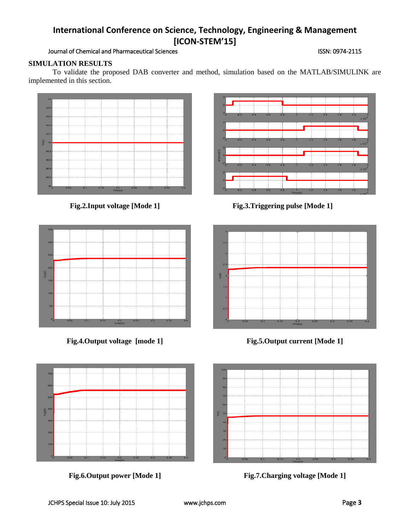## Journal of Chemical and Pharmaceutical Sciences **ISSN: 0974-2115** ISSN: 0974-2115

## **SIMULATION RESULTS**

To validate the proposed DAB converter and method, simulation based on the MATLAB/SIMULINK are implemented in this section.

 $\overline{50}$ 50 50 50  $\frac{2}{3}$  $46$ 

but



**Fig.2.Input voltage [Mode 1] Fig.3.Triggering pulse [Mode 1]**









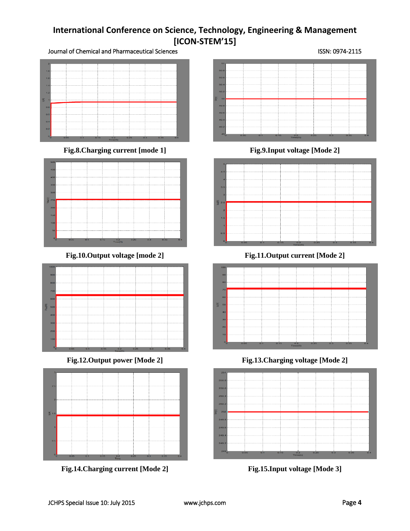Journal of Chemical and Pharmaceutical Sciences **ISSN: 0974-2115** ISSN: 0974-2115



**Fig.8.Charging current [mode 1] Fig.9.Input voltage [Mode 2]**







**Fig.14.Charging current [Mode 2] Fig.15.Input voltage [Mode 3]**





**Fig.10.Output voltage [mode 2] Fig.11.Output current [Mode 2]**



**Fig.12.Output power [Mode 2] Fig.13.Charging voltage [Mode 2]**

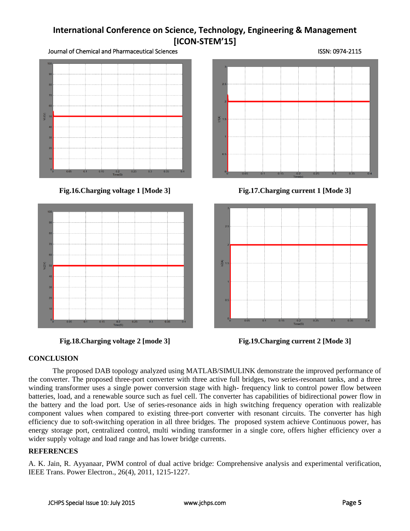Journal of Chemical and Pharmaceutical Sciences ISSN: 0974-2115







**Fig.16.Charging voltage 1 [Mode 3] Fig.17.Charging current 1 [Mode 3]**



**Fig.18.Charging voltage 2 [mode 3] Fig.19.Charging current 2 [Mode 3]**

## **CONCLUSION**

The proposed DAB topology analyzed using MATLAB/SIMULINK demonstrate the improved performance of the converter. The proposed three-port converter with three active full bridges, two series-resonant tanks, and a three winding transformer uses a single power conversion stage with high- frequency link to control power flow between batteries, load, and a renewable source such as fuel cell. The converter has capabilities of bidirectional power flow in the battery and the load port. Use of series-resonance aids in high switching frequency operation with realizable component values when compared to existing three-port converter with resonant circuits. The converter has high efficiency due to soft-switching operation in all three bridges. The proposed system achieve Continuous power, has energy storage port, centralized control, multi winding transformer in a single core, offers higher efficiency over a wider supply voltage and load range and has lower bridge currents.

## **REFERENCES**

A. K. Jain, R. Ayyanaar, PWM control of dual active bridge: Comprehensive analysis and experimental verification, IEEE Trans. Power Electron., 26(4), 2011, 1215-1227.